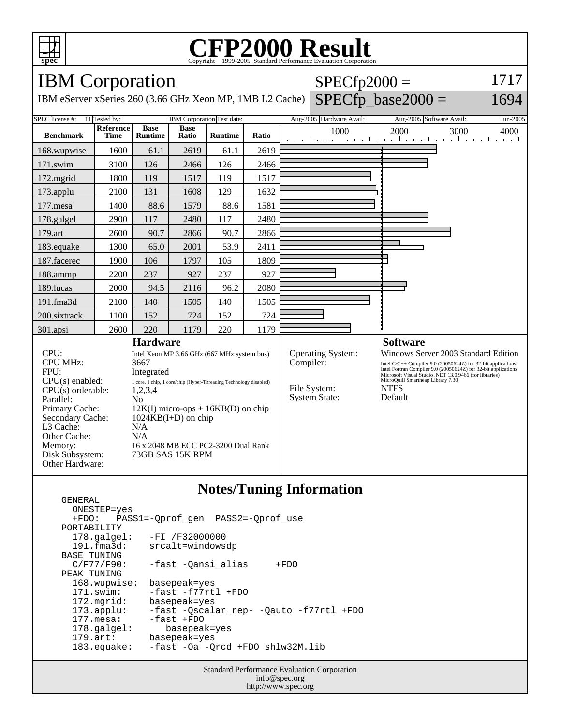

Other Hardware:

GENERAL

### **CFP2000 Result** Copyright  $\odot$  1999-2005, Standard I

#### **spec** IBM Corporation IBM eServer xSeries 260 (3.66 GHz Xeon MP, 1MB L2 Cache)  $SPECfp2000 =$  $SPECfp\_base2000 =$ 1717 1694 SPEC license #: 11 Tested by: IBM Corporation Test date: Aug-2005 Hardware Avail: Aug-2005 Software Avail: Jun-2005 **Benchmark Reference Time Base Runtime Base Ratio Runtime Ratio** 1000 2000 3000 4000 168.wupwise 1600 61.1 2619 61.1 2619 171.swim | 3100 | 126 | 2466 | 126 | 2466 172.mgrid | 1800 | 119 | 1517 | 119 | 1517 173.applu | 2100 | 131 | 1608 | 129 | 1632 177.mesa | 1400 | 88.6 | 1579 | 88.6 | 1581 178.galgel | 2900 | 117 | 2480 | 117 | 2480 179.art | 2600 | 90.7 | 2866 | 90.7 | 2866 183.equake 1300 65.0 2001 53.9 2411 187.facerec | 1900 | 106 | 1797 | 105 | 1809 188.ammp | 2200 | 237 | 927 | 237 | 927 189.lucas | 2000 | 94.5 | 2116 | 96.2 | 2080 191.fma3d | 2100 | 140 | 1505 | 140 | 1505 200.sixtrack 1100 152 724 725 724 301.apsi 2600 220 1179 220 1179 **Hardware** CPU: Intel Xeon MP 3.66 GHz (667 MHz system bus) CPU MHz: 3667 FPU: Integrated  $CPU(s) enable: 1 core, 1 chip, 1 core/chip (Hyper-Threading Technology disabled)$ <br> $CPU(s) orderable: 1, 2, 3, 4$  $CPU(s)$  orderable: Parallel: No Primary Cache: 12K(I) micro-ops + 16KB(D) on chip Secondary Cache: 1024KB(I+D) on chip L3 Cache: N/A Other Cache: N/A Memory: 16 x 2048 MB ECC PC2-3200 Dual Rank Disk Subsystem: 73GB SAS 15K RPM **Software** Operating System: Windows Server 2003 Standard Edition<br>
Compiler: Intel C/C++ Compiler 9.0 (20050624Z) for 32-bit applications Intel C/C++ Compiler 9.0 (20050624Z) for 32-bit applications Intel Fortran Compiler 9.0 (20050624Z) for 32-bit applications Microsoft Visual Studio .NET 13.0.9466 (for libraries) MicroQuill Smartheap Library 7.30 File System: NTFS<br>System State: Default System State:

### **Notes/Tuning Information**

 ONESTEP=yes +FDO: PASS1=-Qprof\_gen PASS2=-Qprof\_use PORTABILITY<br>178.galgel: -FI /F32000000 191.fma3d: srcalt=windowsdp BASE TUNING<br>C/F77/F90: -fast -Qansi\_alias +FDO PEAK TUNING 168.wupwise: basepeak=yes 171.swim: -fast -f77rtl +FDO 172.mgrid: basepeak=yes<br>173.applu: -fast -Qscala 173.applu: -fast -Qscalar\_rep- -Qauto -f77rtl +FDO -fast +FDO 178.galgel: basepeak=yes 179.art: basepeak=yes 183.equake: -fast -Oa -Qrcd +FDO shlw32M.lib

> Standard Performance Evaluation Corporation info@spec.org http://www.spec.org